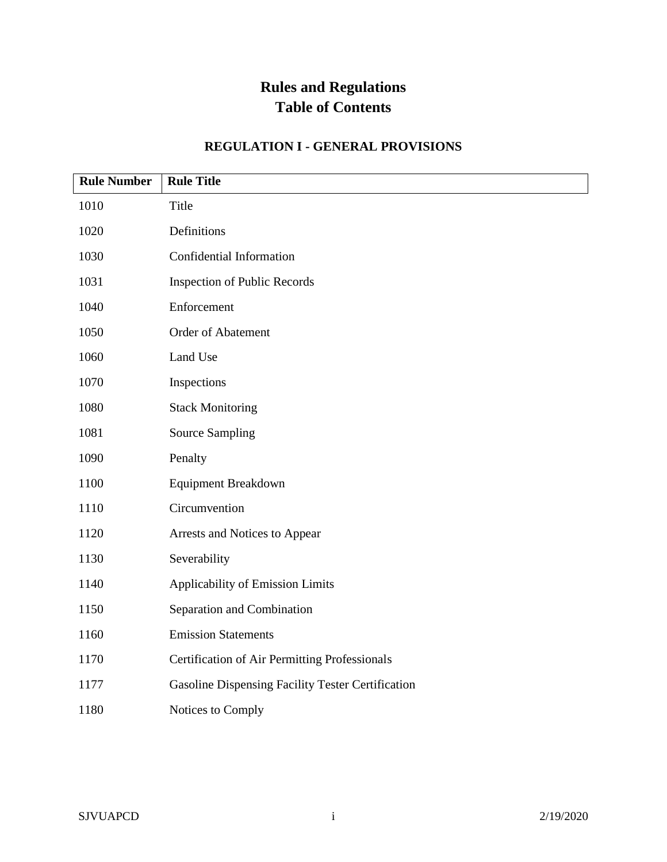| <b>Rule Number</b> | <b>Rule Title</b>                                        |
|--------------------|----------------------------------------------------------|
| 1010               | Title                                                    |
| 1020               | Definitions                                              |
| 1030               | Confidential Information                                 |
| 1031               | <b>Inspection of Public Records</b>                      |
| 1040               | Enforcement                                              |
| 1050               | Order of Abatement                                       |
| 1060               | Land Use                                                 |
| 1070               | Inspections                                              |
| 1080               | <b>Stack Monitoring</b>                                  |
| 1081               | <b>Source Sampling</b>                                   |
| 1090               | Penalty                                                  |
| 1100               | <b>Equipment Breakdown</b>                               |
| 1110               | Circumvention                                            |
| 1120               | Arrests and Notices to Appear                            |
| 1130               | Severability                                             |
| 1140               | Applicability of Emission Limits                         |
| 1150               | Separation and Combination                               |
| 1160               | <b>Emission Statements</b>                               |
| 1170               | <b>Certification of Air Permitting Professionals</b>     |
| 1177               | <b>Gasoline Dispensing Facility Tester Certification</b> |
| 1180               | Notices to Comply                                        |

### **REGULATION I - GENERAL PROVISIONS**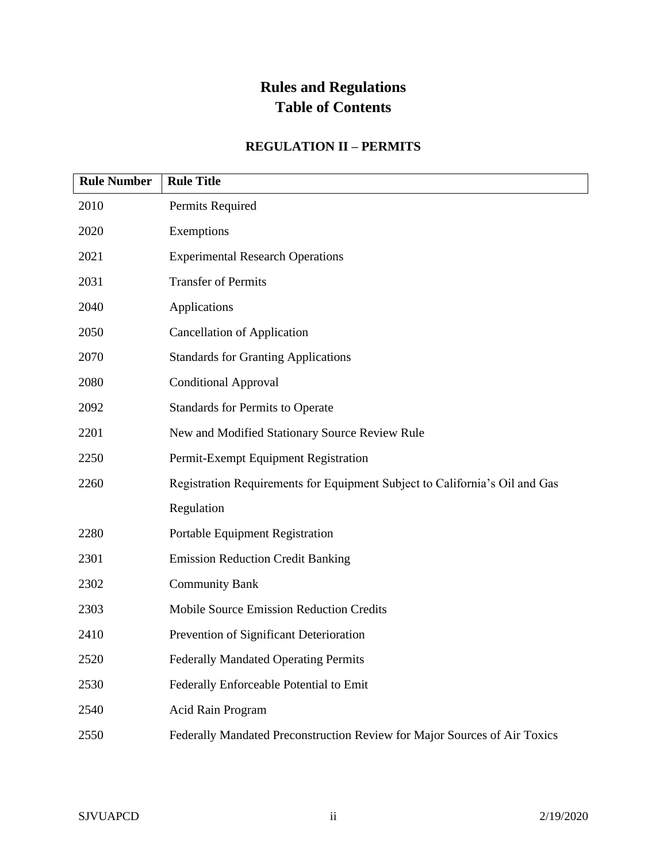#### **REGULATION II – PERMITS**

| <b>Rule Number</b> | <b>Rule Title</b>                                                           |
|--------------------|-----------------------------------------------------------------------------|
| 2010               | Permits Required                                                            |
| 2020               | Exemptions                                                                  |
| 2021               | <b>Experimental Research Operations</b>                                     |
| 2031               | <b>Transfer of Permits</b>                                                  |
| 2040               | Applications                                                                |
| 2050               | <b>Cancellation of Application</b>                                          |
| 2070               | <b>Standards for Granting Applications</b>                                  |
| 2080               | <b>Conditional Approval</b>                                                 |
| 2092               | <b>Standards for Permits to Operate</b>                                     |
| 2201               | New and Modified Stationary Source Review Rule                              |
| 2250               | Permit-Exempt Equipment Registration                                        |
| 2260               | Registration Requirements for Equipment Subject to California's Oil and Gas |
|                    | Regulation                                                                  |
| 2280               | Portable Equipment Registration                                             |
| 2301               | <b>Emission Reduction Credit Banking</b>                                    |
| 2302               | <b>Community Bank</b>                                                       |
| 2303               | <b>Mobile Source Emission Reduction Credits</b>                             |
| 2410               | Prevention of Significant Deterioration                                     |
| 2520               | <b>Federally Mandated Operating Permits</b>                                 |
| 2530               | Federally Enforceable Potential to Emit                                     |
| 2540               | Acid Rain Program                                                           |
| 2550               | Federally Mandated Preconstruction Review for Major Sources of Air Toxics   |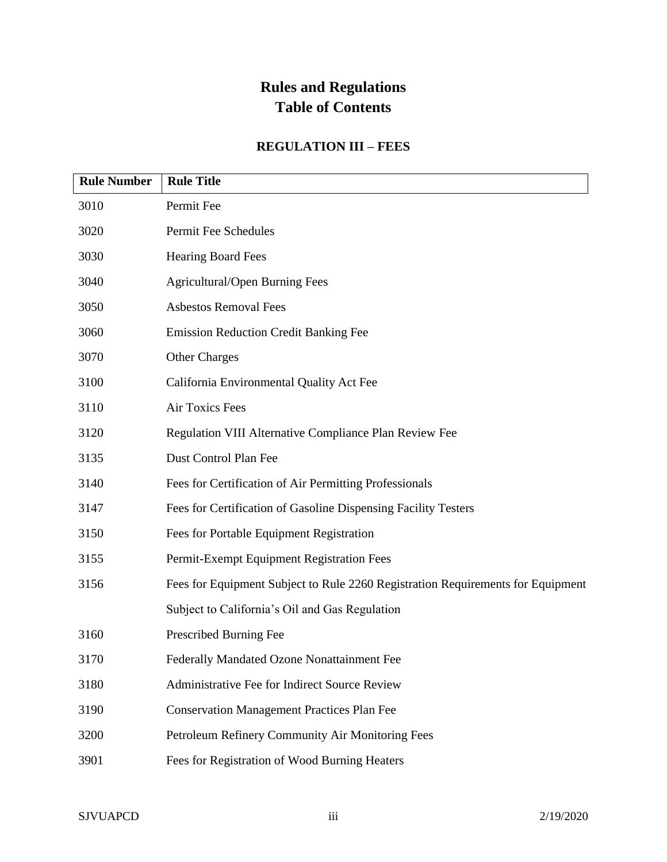#### **REGULATION III – FEES**

| <b>Rule Number</b> | <b>Rule Title</b>                                                               |
|--------------------|---------------------------------------------------------------------------------|
| 3010               | Permit Fee                                                                      |
| 3020               | Permit Fee Schedules                                                            |
| 3030               | <b>Hearing Board Fees</b>                                                       |
| 3040               | Agricultural/Open Burning Fees                                                  |
| 3050               | <b>Asbestos Removal Fees</b>                                                    |
| 3060               | <b>Emission Reduction Credit Banking Fee</b>                                    |
| 3070               | <b>Other Charges</b>                                                            |
| 3100               | California Environmental Quality Act Fee                                        |
| 3110               | <b>Air Toxics Fees</b>                                                          |
| 3120               | Regulation VIII Alternative Compliance Plan Review Fee                          |
| 3135               | Dust Control Plan Fee                                                           |
| 3140               | Fees for Certification of Air Permitting Professionals                          |
| 3147               | Fees for Certification of Gasoline Dispensing Facility Testers                  |
| 3150               | Fees for Portable Equipment Registration                                        |
| 3155               | Permit-Exempt Equipment Registration Fees                                       |
| 3156               | Fees for Equipment Subject to Rule 2260 Registration Requirements for Equipment |
|                    | Subject to California's Oil and Gas Regulation                                  |
| 3160               | Prescribed Burning Fee                                                          |
| 3170               | Federally Mandated Ozone Nonattainment Fee                                      |
| 3180               | Administrative Fee for Indirect Source Review                                   |
| 3190               | <b>Conservation Management Practices Plan Fee</b>                               |
| 3200               | Petroleum Refinery Community Air Monitoring Fees                                |
| 3901               | Fees for Registration of Wood Burning Heaters                                   |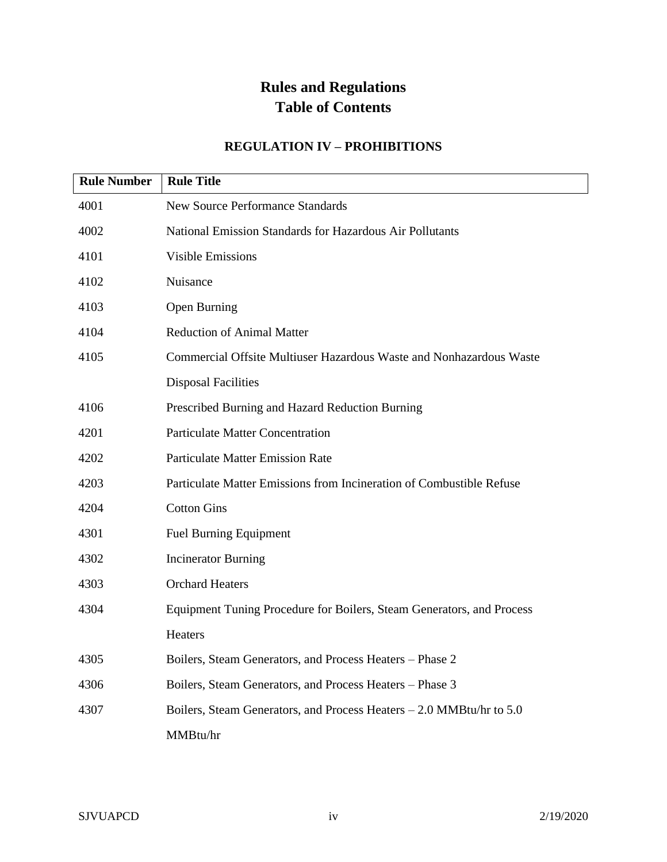#### **REGULATION IV – PROHIBITIONS**

| <b>Rule Number</b> | <b>Rule Title</b>                                                     |
|--------------------|-----------------------------------------------------------------------|
| 4001               | <b>New Source Performance Standards</b>                               |
| 4002               | National Emission Standards for Hazardous Air Pollutants              |
| 4101               | <b>Visible Emissions</b>                                              |
| 4102               | Nuisance                                                              |
| 4103               | Open Burning                                                          |
| 4104               | <b>Reduction of Animal Matter</b>                                     |
| 4105               | Commercial Offsite Multiuser Hazardous Waste and Nonhazardous Waste   |
|                    | <b>Disposal Facilities</b>                                            |
| 4106               | Prescribed Burning and Hazard Reduction Burning                       |
| 4201               | <b>Particulate Matter Concentration</b>                               |
| 4202               | <b>Particulate Matter Emission Rate</b>                               |
| 4203               | Particulate Matter Emissions from Incineration of Combustible Refuse  |
| 4204               | <b>Cotton Gins</b>                                                    |
| 4301               | <b>Fuel Burning Equipment</b>                                         |
| 4302               | <b>Incinerator Burning</b>                                            |
| 4303               | <b>Orchard Heaters</b>                                                |
| 4304               | Equipment Tuning Procedure for Boilers, Steam Generators, and Process |
|                    | Heaters                                                               |
| 4305               | Boilers, Steam Generators, and Process Heaters - Phase 2              |
| 4306               | Boilers, Steam Generators, and Process Heaters - Phase 3              |
| 4307               | Boilers, Steam Generators, and Process Heaters – 2.0 MMBtu/hr to 5.0  |
|                    | MMBtu/hr                                                              |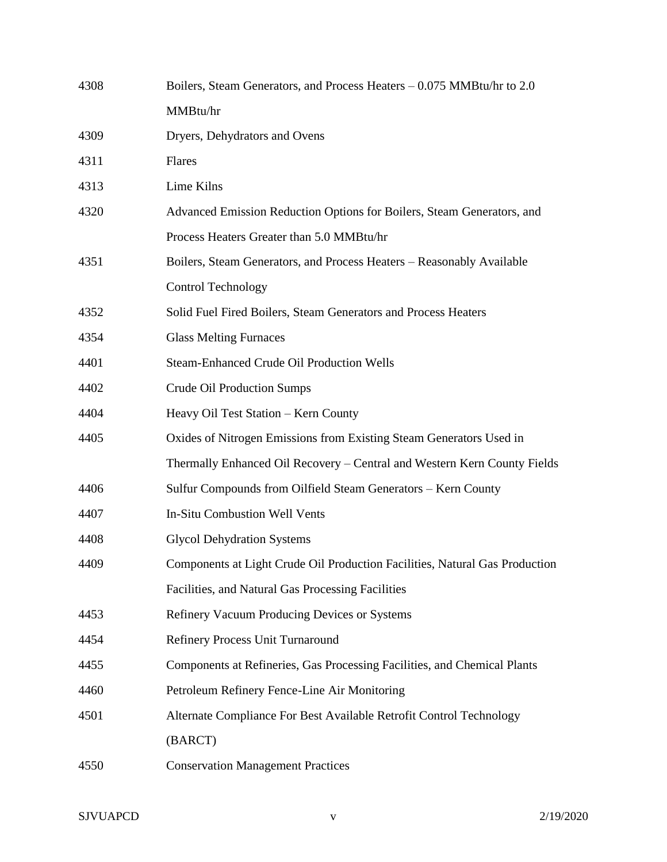| 4308 | Boilers, Steam Generators, and Process Heaters – 0.075 MMBtu/hr to 2.0      |
|------|-----------------------------------------------------------------------------|
|      | MMBtu/hr                                                                    |
| 4309 | Dryers, Dehydrators and Ovens                                               |
| 4311 | Flares                                                                      |
| 4313 | Lime Kilns                                                                  |
| 4320 | Advanced Emission Reduction Options for Boilers, Steam Generators, and      |
|      | Process Heaters Greater than 5.0 MMBtu/hr                                   |
| 4351 | Boilers, Steam Generators, and Process Heaters - Reasonably Available       |
|      | <b>Control Technology</b>                                                   |
| 4352 | Solid Fuel Fired Boilers, Steam Generators and Process Heaters              |
| 4354 | <b>Glass Melting Furnaces</b>                                               |
| 4401 | <b>Steam-Enhanced Crude Oil Production Wells</b>                            |
| 4402 | <b>Crude Oil Production Sumps</b>                                           |
| 4404 | Heavy Oil Test Station - Kern County                                        |
| 4405 | Oxides of Nitrogen Emissions from Existing Steam Generators Used in         |
|      | Thermally Enhanced Oil Recovery - Central and Western Kern County Fields    |
| 4406 | Sulfur Compounds from Oilfield Steam Generators - Kern County               |
| 4407 | <b>In-Situ Combustion Well Vents</b>                                        |
| 4408 | <b>Glycol Dehydration Systems</b>                                           |
| 4409 | Components at Light Crude Oil Production Facilities, Natural Gas Production |
|      | Facilities, and Natural Gas Processing Facilities                           |
| 4453 | Refinery Vacuum Producing Devices or Systems                                |
| 4454 | Refinery Process Unit Turnaround                                            |
| 4455 | Components at Refineries, Gas Processing Facilities, and Chemical Plants    |
| 4460 | Petroleum Refinery Fence-Line Air Monitoring                                |
| 4501 | Alternate Compliance For Best Available Retrofit Control Technology         |
|      | (BARCT)                                                                     |
| 4550 | <b>Conservation Management Practices</b>                                    |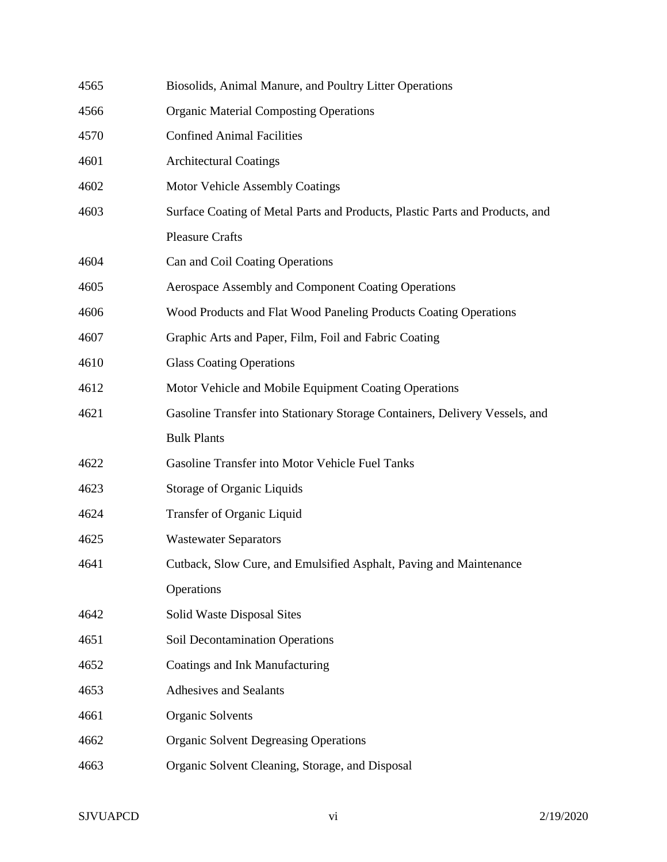| 4565 | Biosolids, Animal Manure, and Poultry Litter Operations                      |
|------|------------------------------------------------------------------------------|
| 4566 | <b>Organic Material Composting Operations</b>                                |
| 4570 | <b>Confined Animal Facilities</b>                                            |
| 4601 | <b>Architectural Coatings</b>                                                |
| 4602 | Motor Vehicle Assembly Coatings                                              |
| 4603 | Surface Coating of Metal Parts and Products, Plastic Parts and Products, and |
|      | <b>Pleasure Crafts</b>                                                       |
| 4604 | Can and Coil Coating Operations                                              |
| 4605 | Aerospace Assembly and Component Coating Operations                          |
| 4606 | Wood Products and Flat Wood Paneling Products Coating Operations             |
| 4607 | Graphic Arts and Paper, Film, Foil and Fabric Coating                        |
| 4610 | <b>Glass Coating Operations</b>                                              |
| 4612 | Motor Vehicle and Mobile Equipment Coating Operations                        |
| 4621 | Gasoline Transfer into Stationary Storage Containers, Delivery Vessels, and  |
|      | <b>Bulk Plants</b>                                                           |
| 4622 | Gasoline Transfer into Motor Vehicle Fuel Tanks                              |
| 4623 | Storage of Organic Liquids                                                   |
| 4624 | Transfer of Organic Liquid                                                   |
| 4625 | <b>Wastewater Separators</b>                                                 |
| 4641 | Cutback, Slow Cure, and Emulsified Asphalt, Paving and Maintenance           |
|      | Operations                                                                   |
| 4642 | Solid Waste Disposal Sites                                                   |
| 4651 | Soil Decontamination Operations                                              |
| 4652 | Coatings and Ink Manufacturing                                               |
| 4653 | Adhesives and Sealants                                                       |
| 4661 | <b>Organic Solvents</b>                                                      |
| 4662 | <b>Organic Solvent Degreasing Operations</b>                                 |
| 4663 | Organic Solvent Cleaning, Storage, and Disposal                              |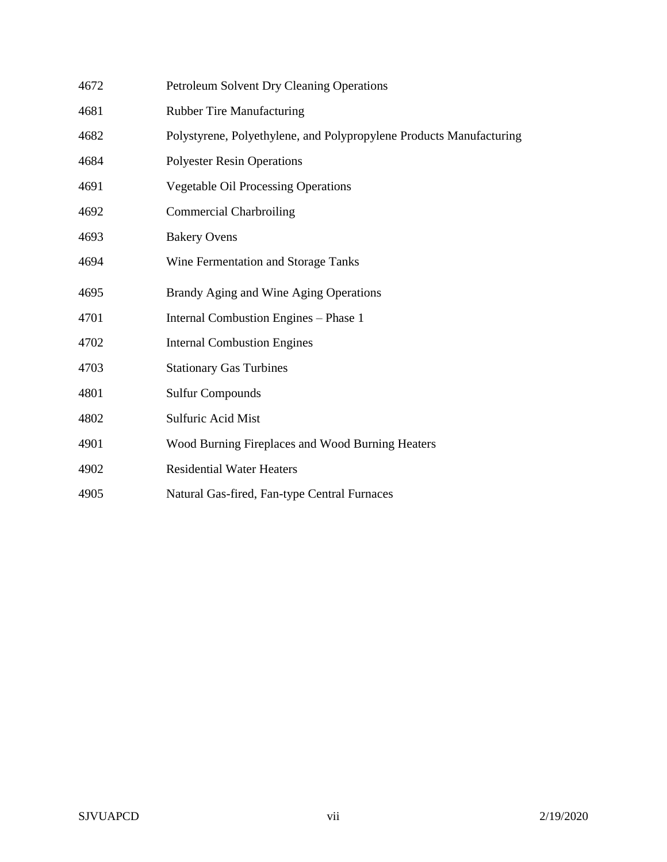| 4672 | <b>Petroleum Solvent Dry Cleaning Operations</b>                    |
|------|---------------------------------------------------------------------|
| 4681 | <b>Rubber Tire Manufacturing</b>                                    |
| 4682 | Polystyrene, Polyethylene, and Polypropylene Products Manufacturing |
| 4684 | <b>Polyester Resin Operations</b>                                   |
| 4691 | <b>Vegetable Oil Processing Operations</b>                          |
| 4692 | <b>Commercial Charbroiling</b>                                      |
| 4693 | <b>Bakery Ovens</b>                                                 |
| 4694 | Wine Fermentation and Storage Tanks                                 |
| 4695 | Brandy Aging and Wine Aging Operations                              |
| 4701 | Internal Combustion Engines - Phase 1                               |
| 4702 | <b>Internal Combustion Engines</b>                                  |
| 4703 | <b>Stationary Gas Turbines</b>                                      |
| 4801 | <b>Sulfur Compounds</b>                                             |
| 4802 | Sulfuric Acid Mist                                                  |
| 4901 | Wood Burning Fireplaces and Wood Burning Heaters                    |
| 4902 | <b>Residential Water Heaters</b>                                    |
| 4905 | Natural Gas-fired, Fan-type Central Furnaces                        |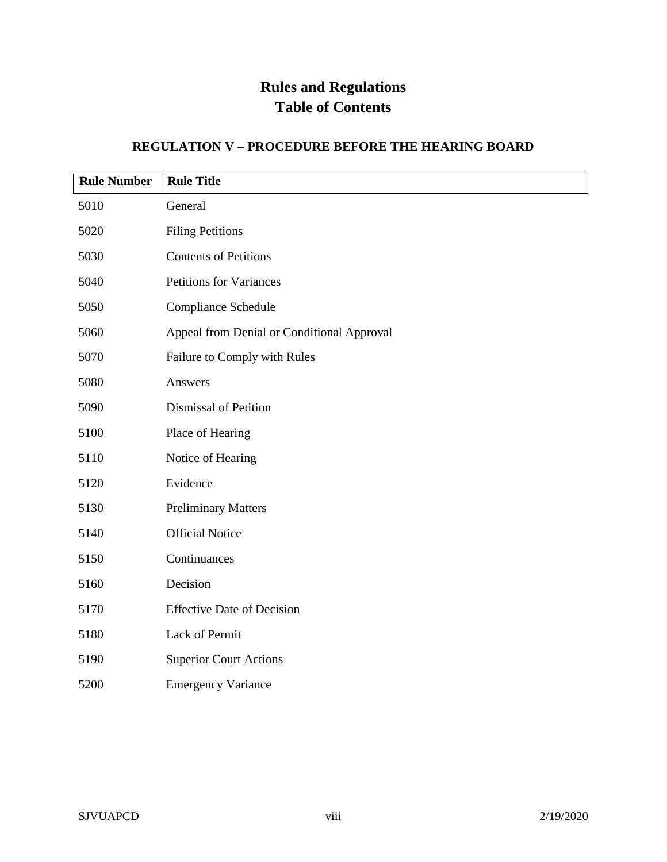### **REGULATION V – PROCEDURE BEFORE THE HEARING BOARD**

| <b>Rule Number</b> | <b>Rule Title</b>                          |
|--------------------|--------------------------------------------|
| 5010               | General                                    |
| 5020               | <b>Filing Petitions</b>                    |
| 5030               | <b>Contents of Petitions</b>               |
| 5040               | <b>Petitions for Variances</b>             |
| 5050               | <b>Compliance Schedule</b>                 |
| 5060               | Appeal from Denial or Conditional Approval |
| 5070               | Failure to Comply with Rules               |
| 5080               | Answers                                    |
| 5090               | Dismissal of Petition                      |
| 5100               | Place of Hearing                           |
| 5110               | Notice of Hearing                          |
| 5120               | Evidence                                   |
| 5130               | <b>Preliminary Matters</b>                 |
| 5140               | <b>Official Notice</b>                     |
| 5150               | Continuances                               |
| 5160               | Decision                                   |
| 5170               | <b>Effective Date of Decision</b>          |
| 5180               | Lack of Permit                             |
| 5190               | <b>Superior Court Actions</b>              |
| 5200               | <b>Emergency Variance</b>                  |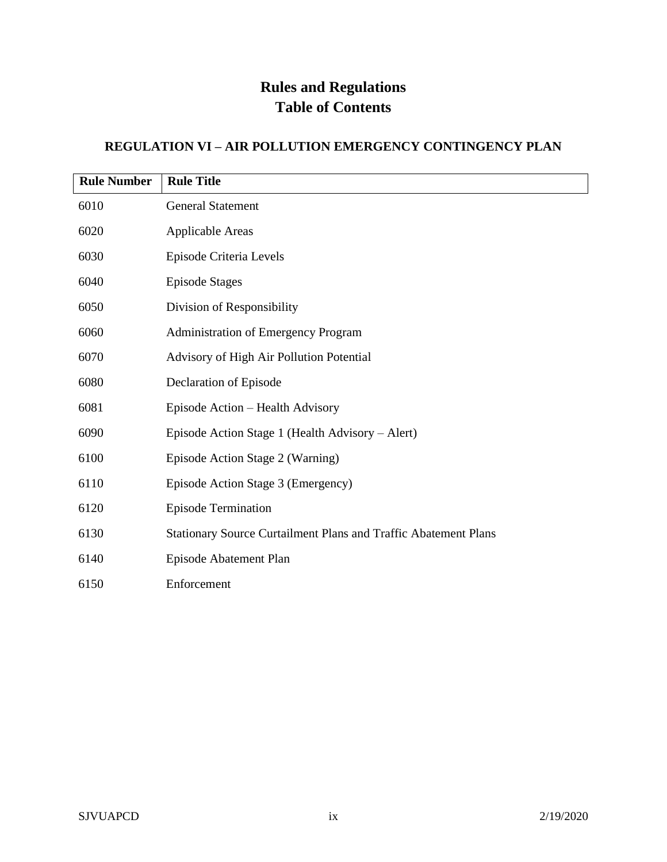### **REGULATION VI – AIR POLLUTION EMERGENCY CONTINGENCY PLAN**

| <b>Rule Number</b> | <b>Rule Title</b>                                                      |
|--------------------|------------------------------------------------------------------------|
| 6010               | <b>General Statement</b>                                               |
| 6020               | <b>Applicable Areas</b>                                                |
| 6030               | Episode Criteria Levels                                                |
| 6040               | <b>Episode Stages</b>                                                  |
| 6050               | Division of Responsibility                                             |
| 6060               | <b>Administration of Emergency Program</b>                             |
| 6070               | Advisory of High Air Pollution Potential                               |
| 6080               | Declaration of Episode                                                 |
| 6081               | Episode Action - Health Advisory                                       |
| 6090               | Episode Action Stage 1 (Health Advisory – Alert)                       |
| 6100               | Episode Action Stage 2 (Warning)                                       |
| 6110               | Episode Action Stage 3 (Emergency)                                     |
| 6120               | <b>Episode Termination</b>                                             |
| 6130               | <b>Stationary Source Curtailment Plans and Traffic Abatement Plans</b> |
| 6140               | Episode Abatement Plan                                                 |
| 6150               | Enforcement                                                            |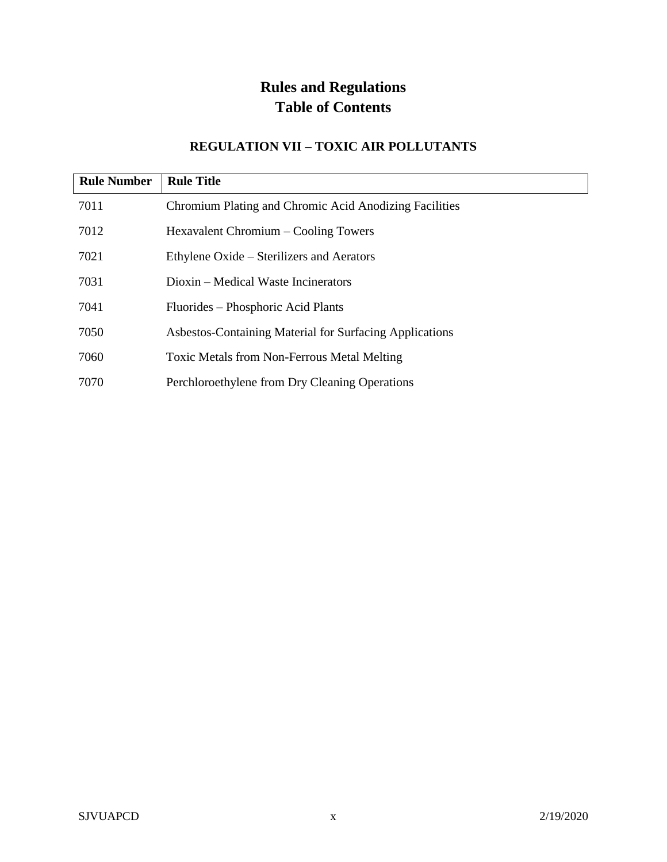#### **REGULATION VII – TOXIC AIR POLLUTANTS**

| <b>Rule Number</b> | <b>Rule Title</b>                                       |
|--------------------|---------------------------------------------------------|
| 7011               | Chromium Plating and Chromic Acid Anodizing Facilities  |
| 7012               | Hexavalent Chromium – Cooling Towers                    |
| 7021               | Ethylene Oxide – Sterilizers and Aerators               |
| 7031               | Dioxin – Medical Waste Incinerators                     |
| 7041               | Fluorides – Phosphoric Acid Plants                      |
| 7050               | Asbestos-Containing Material for Surfacing Applications |
| 7060               | Toxic Metals from Non-Ferrous Metal Melting             |
| 7070               | Perchloroethylene from Dry Cleaning Operations          |

 $\overline{\phantom{a}}$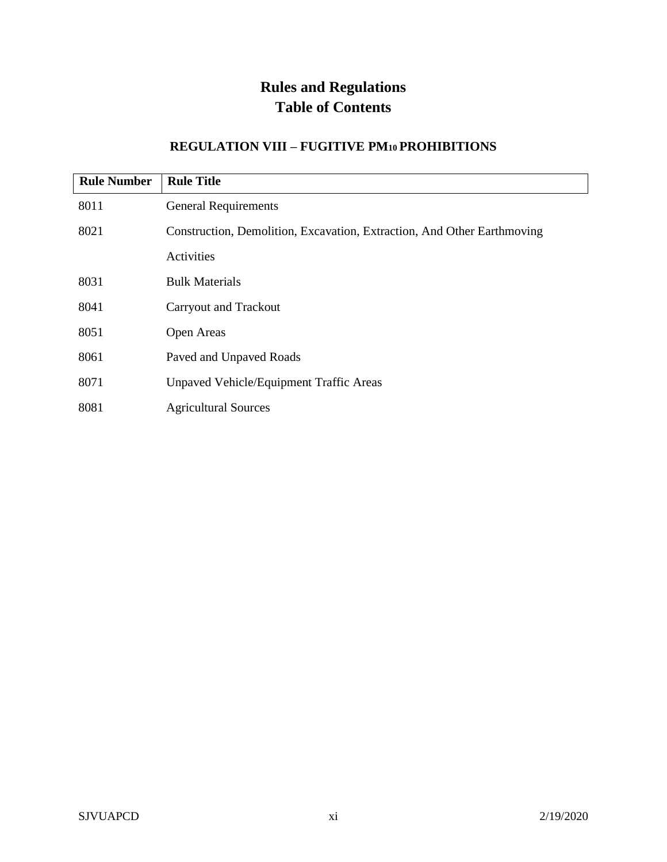#### **REGULATION VIII – FUGITIVE PM10 PROHIBITIONS**

| <b>Rule Number</b> | <b>Rule Title</b>                                                       |
|--------------------|-------------------------------------------------------------------------|
| 8011               | <b>General Requirements</b>                                             |
| 8021               | Construction, Demolition, Excavation, Extraction, And Other Earthmoving |
|                    | Activities                                                              |
| 8031               | <b>Bulk Materials</b>                                                   |
| 8041               | <b>Carryout and Trackout</b>                                            |
| 8051               | Open Areas                                                              |
| 8061               | Paved and Unpaved Roads                                                 |
| 8071               | <b>Unpaved Vehicle/Equipment Traffic Areas</b>                          |
| 8081               | <b>Agricultural Sources</b>                                             |